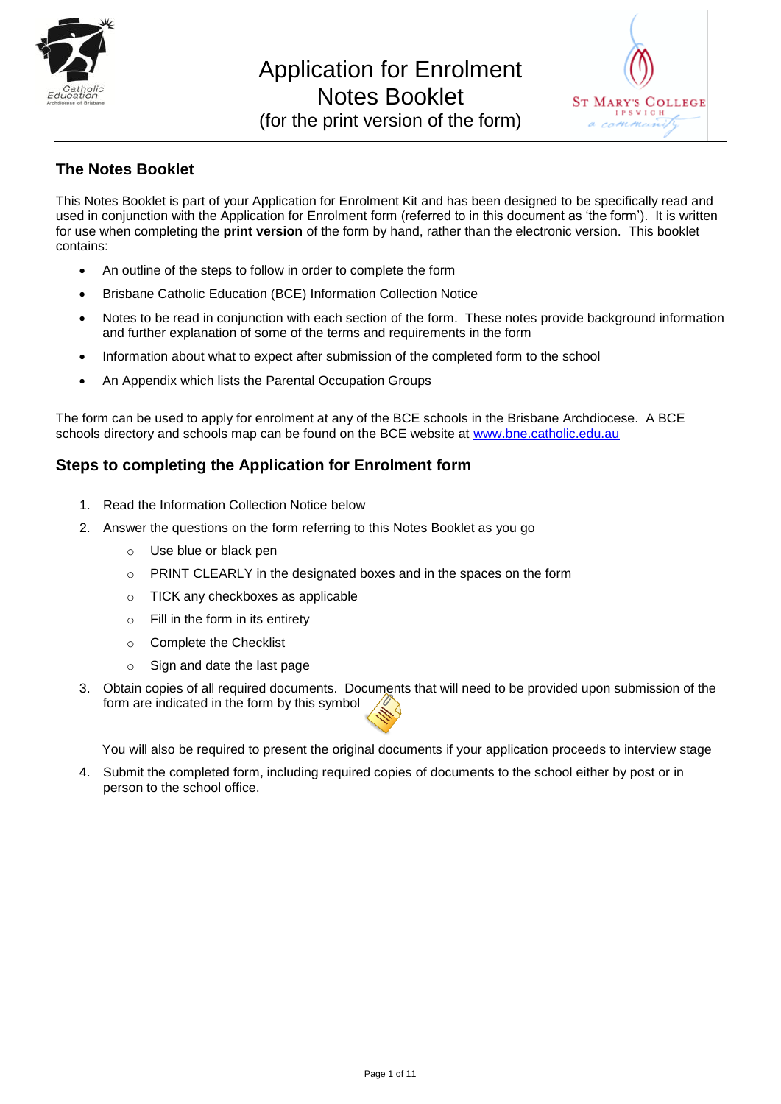



## **The Notes Booklet**

This Notes Booklet is part of your Application for Enrolment Kit and has been designed to be specifically read and used in conjunction with the Application for Enrolment form (referred to in this document as "the form"). It is written for use when completing the **print version** of the form by hand, rather than the electronic version. This booklet contains:

- An outline of the steps to follow in order to complete the form
- Brisbane Catholic Education (BCE) Information Collection Notice
- Notes to be read in conjunction with each section of the form. These notes provide background information and further explanation of some of the terms and requirements in the form
- Information about what to expect after submission of the completed form to the school
- An Appendix which lists the Parental Occupation Groups

The form can be used to apply for enrolment at any of the BCE schools in the Brisbane Archdiocese. A BCE schools directory and schools map can be found on the BCE website at [www.bne.catholic.edu.au](http://www.bne.catholic.edu.au/)

### **Steps to completing the Application for Enrolment form**

- 1. Read the Information Collection Notice below
- 2. Answer the questions on the form referring to this Notes Booklet as you go
	- o Use blue or black pen
	- o PRINT CLEARLY in the designated boxes and in the spaces on the form
	- o TICK any checkboxes as applicable
	- o Fill in the form in its entirety
	- o Complete the Checklist
	- o Sign and date the last page
- 3. Obtain copies of all required documents. Documents that will need to be provided upon submission of the form are indicated in the form by this symbol

You will also be required to present the original documents if your application proceeds to interview stage

4. Submit the completed form, including required copies of documents to the school either by post or in person to the school office.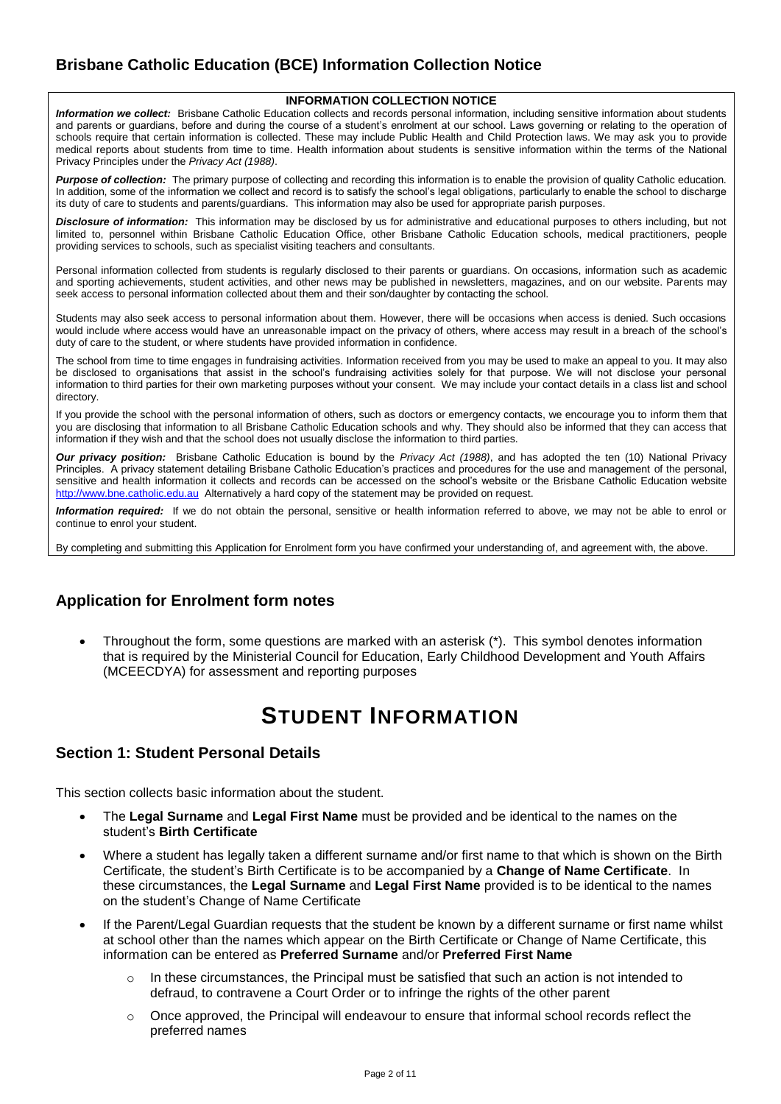## **Brisbane Catholic Education (BCE) Information Collection Notice**

#### **INFORMATION COLLECTION NOTICE**

*Information we collect:* Brisbane Catholic Education collects and records personal information, including sensitive information about students and parents or quardians, before and during the course of a student's enrolment at our school. Laws governing or relating to the operation of schools require that certain information is collected. These may include Public Health and Child Protection laws. We may ask you to provide medical reports about students from time to time. Health information about students is sensitive information within the terms of the National Privacy Principles under the *Privacy Act (1988)*.

Purpose of collection: The primary purpose of collecting and recording this information is to enable the provision of quality Catholic education. In addition, some of the information we collect and record is to satisfy the school"s legal obligations, particularly to enable the school to discharge its duty of care to students and parents/guardians. This information may also be used for appropriate parish purposes.

*Disclosure of information:* This information may be disclosed by us for administrative and educational purposes to others including, but not limited to, personnel within Brisbane Catholic Education Office, other Brisbane Catholic Education schools, medical practitioners, people providing services to schools, such as specialist visiting teachers and consultants.

Personal information collected from students is regularly disclosed to their parents or guardians. On occasions, information such as academic and sporting achievements, student activities, and other news may be published in newsletters, magazines, and on our website. Parents may seek access to personal information collected about them and their son/daughter by contacting the school.

Students may also seek access to personal information about them. However, there will be occasions when access is denied. Such occasions would include where access would have an unreasonable impact on the privacy of others, where access may result in a breach of the school"s duty of care to the student, or where students have provided information in confidence.

The school from time to time engages in fundraising activities. Information received from you may be used to make an appeal to you. It may also be disclosed to organisations that assist in the school's fundraising activities solely for that purpose. We will not disclose your personal information to third parties for their own marketing purposes without your consent. We may include your contact details in a class list and school directory.

If you provide the school with the personal information of others, such as doctors or emergency contacts, we encourage you to inform them that you are disclosing that information to all Brisbane Catholic Education schools and why. They should also be informed that they can access that information if they wish and that the school does not usually disclose the information to third parties.

*Our privacy position:* Brisbane Catholic Education is bound by the *Privacy Act (1988)*, and has adopted the ten (10) National Privacy Principles. A privacy statement detailing Brisbane Catholic Education"s practices and procedures for the use and management of the personal, sensitive and health information it collects and records can be accessed on the school"s website or the Brisbane Catholic Education website [http://www.bne.catholic.edu.au](http://www.bne.catholic.edu.au/) Alternatively a hard copy of the statement may be provided on request.

*Information required:* If we do not obtain the personal, sensitive or health information referred to above, we may not be able to enrol or continue to enrol your student.

By completing and submitting this Application for Enrolment form you have confirmed your understanding of, and agreement with, the above.

#### **Application for Enrolment form notes**

 Throughout the form, some questions are marked with an asterisk (\*). This symbol denotes information that is required by the Ministerial Council for Education, Early Childhood Development and Youth Affairs (MCEECDYA) for assessment and reporting purposes

## **STUDENT INFORMATION**

#### **Section 1: Student Personal Details**

This section collects basic information about the student.

- The **Legal Surname** and **Legal First Name** must be provided and be identical to the names on the student"s **Birth Certificate**
- Where a student has legally taken a different surname and/or first name to that which is shown on the Birth Certificate, the student"s Birth Certificate is to be accompanied by a **Change of Name Certificate**. In these circumstances, the **Legal Surname** and **Legal First Name** provided is to be identical to the names on the student"s Change of Name Certificate
- If the Parent/Legal Guardian requests that the student be known by a different surname or first name whilst at school other than the names which appear on the Birth Certificate or Change of Name Certificate, this information can be entered as **Preferred Surname** and/or **Preferred First Name**
	- $\circ$  In these circumstances, the Principal must be satisfied that such an action is not intended to defraud, to contravene a Court Order or to infringe the rights of the other parent
	- $\circ$  Once approved, the Principal will endeavour to ensure that informal school records reflect the preferred names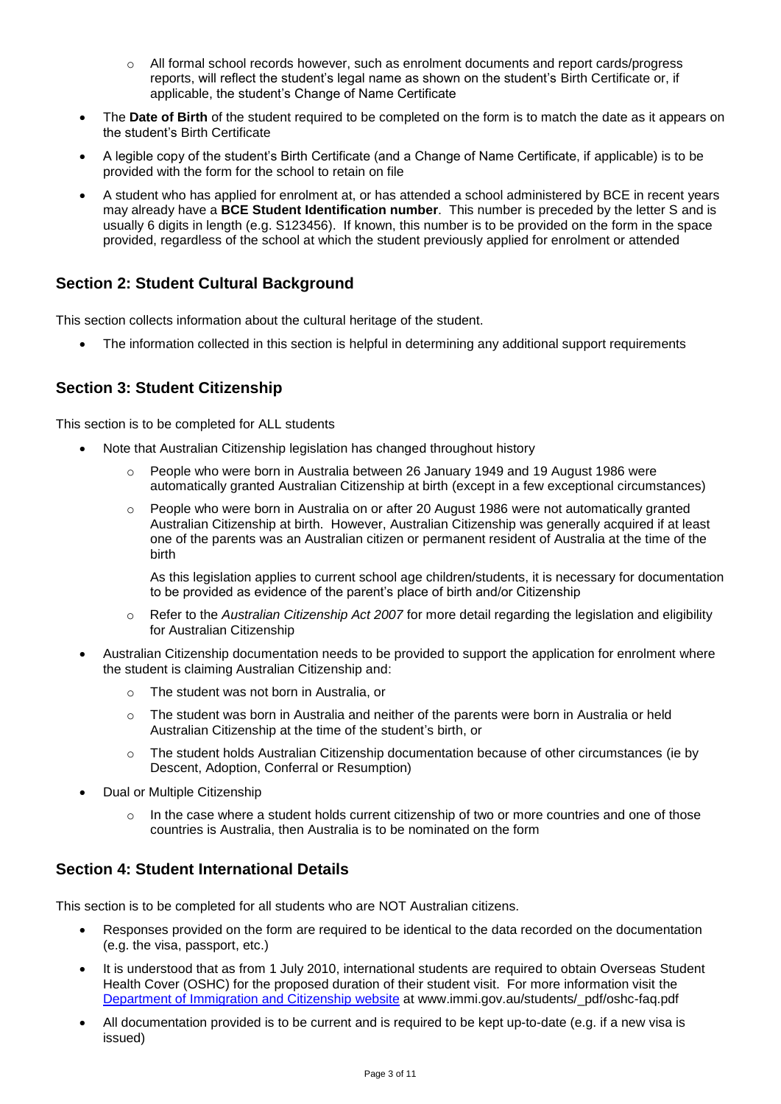- $\circ$  All formal school records however, such as enrolment documents and report cards/progress reports, will reflect the student"s legal name as shown on the student"s Birth Certificate or, if applicable, the student"s Change of Name Certificate
- The **Date of Birth** of the student required to be completed on the form is to match the date as it appears on the student"s Birth Certificate
- A legible copy of the student"s Birth Certificate (and a Change of Name Certificate, if applicable) is to be provided with the form for the school to retain on file
- A student who has applied for enrolment at, or has attended a school administered by BCE in recent years may already have a **BCE Student Identification number**. This number is preceded by the letter S and is usually 6 digits in length (e.g. S123456). If known, this number is to be provided on the form in the space provided, regardless of the school at which the student previously applied for enrolment or attended

#### **Section 2: Student Cultural Background**

This section collects information about the cultural heritage of the student.

The information collected in this section is helpful in determining any additional support requirements

#### **Section 3: Student Citizenship**

This section is to be completed for ALL students

- Note that Australian Citizenship legislation has changed throughout history
	- $\circ$  People who were born in Australia between 26 January 1949 and 19 August 1986 were automatically granted Australian Citizenship at birth (except in a few exceptional circumstances)
	- $\circ$  People who were born in Australia on or after 20 August 1986 were not automatically granted Australian Citizenship at birth. However, Australian Citizenship was generally acquired if at least one of the parents was an Australian citizen or permanent resident of Australia at the time of the birth

As this legislation applies to current school age children/students, it is necessary for documentation to be provided as evidence of the parent"s place of birth and/or Citizenship

- o Refer to the *Australian Citizenship Act 2007* for more detail regarding the legislation and eligibility for Australian Citizenship
- Australian Citizenship documentation needs to be provided to support the application for enrolment where the student is claiming Australian Citizenship and:
	- o The student was not born in Australia, or
	- o The student was born in Australia and neither of the parents were born in Australia or held Australian Citizenship at the time of the student's birth, or
	- $\circ$  The student holds Australian Citizenship documentation because of other circumstances (ie by Descent, Adoption, Conferral or Resumption)
- Dual or Multiple Citizenship
	- $\circ$  In the case where a student holds current citizenship of two or more countries and one of those countries is Australia, then Australia is to be nominated on the form

#### **Section 4: Student International Details**

This section is to be completed for all students who are NOT Australian citizens.

- Responses provided on the form are required to be identical to the data recorded on the documentation (e.g. the visa, passport, etc.)
- It is understood that as from 1 July 2010, international students are required to obtain Overseas Student Health Cover (OSHC) for the proposed duration of their student visit. For more information visit the [Department of Immigration and Citizenship](http://www.immi.gov.au/students/_pdf/oshc-faq.pdf) website at www.immi.gov.au/students/\_pdf/oshc-faq.pdf
- All documentation provided is to be current and is required to be kept up-to-date (e.g. if a new visa is issued)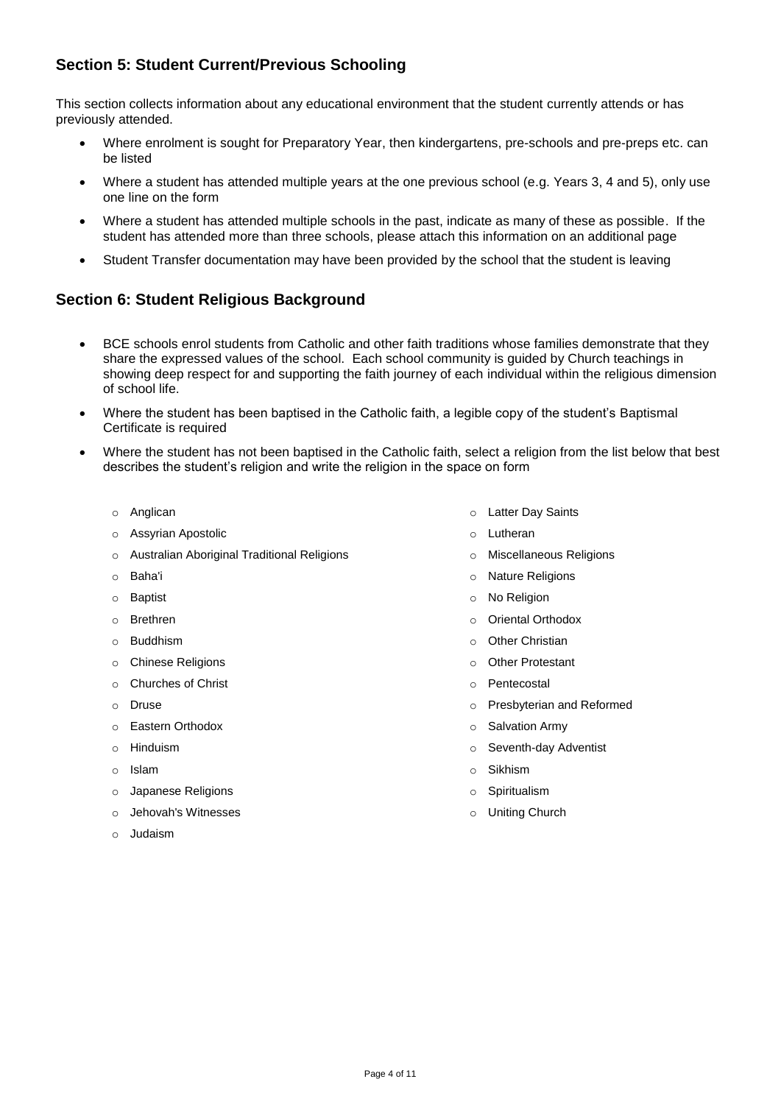## **Section 5: Student Current/Previous Schooling**

This section collects information about any educational environment that the student currently attends or has previously attended.

- Where enrolment is sought for Preparatory Year, then kindergartens, pre-schools and pre-preps etc. can be listed
- Where a student has attended multiple years at the one previous school (e.g. Years 3, 4 and 5), only use one line on the form
- Where a student has attended multiple schools in the past, indicate as many of these as possible. If the student has attended more than three schools, please attach this information on an additional page
- Student Transfer documentation may have been provided by the school that the student is leaving

#### **Section 6: Student Religious Background**

- BCE schools enrol students from Catholic and other faith traditions whose families demonstrate that they share the expressed values of the school. Each school community is guided by Church teachings in showing deep respect for and supporting the faith journey of each individual within the religious dimension of school life.
- Where the student has been baptised in the Catholic faith, a legible copy of the student"s Baptismal Certificate is required
- Where the student has not been baptised in the Catholic faith, select a religion from the list below that best describes the student"s religion and write the religion in the space on form
	- o Anglican
	- o Assyrian Apostolic
	- o Australian Aboriginal Traditional Religions
	- o Baha'i
	- o Baptist
	- o Brethren
	- o Buddhism
	- o Chinese Religions
	- o Churches of Christ
	- o Druse
	- o Eastern Orthodox
	- o Hinduism
	- o Islam
	- o Japanese Religions
	- o Jehovah's Witnesses
	- o Judaism
- o Latter Day Saints
- o Lutheran
- o Miscellaneous Religions
- o Nature Religions
- o No Religion
- o Oriental Orthodox
- o Other Christian
- o Other Protestant
- o Pentecostal
- o Presbyterian and Reformed
- o Salvation Army
- o Seventh-day Adventist
- o Sikhism
- o Spiritualism
- o Uniting Church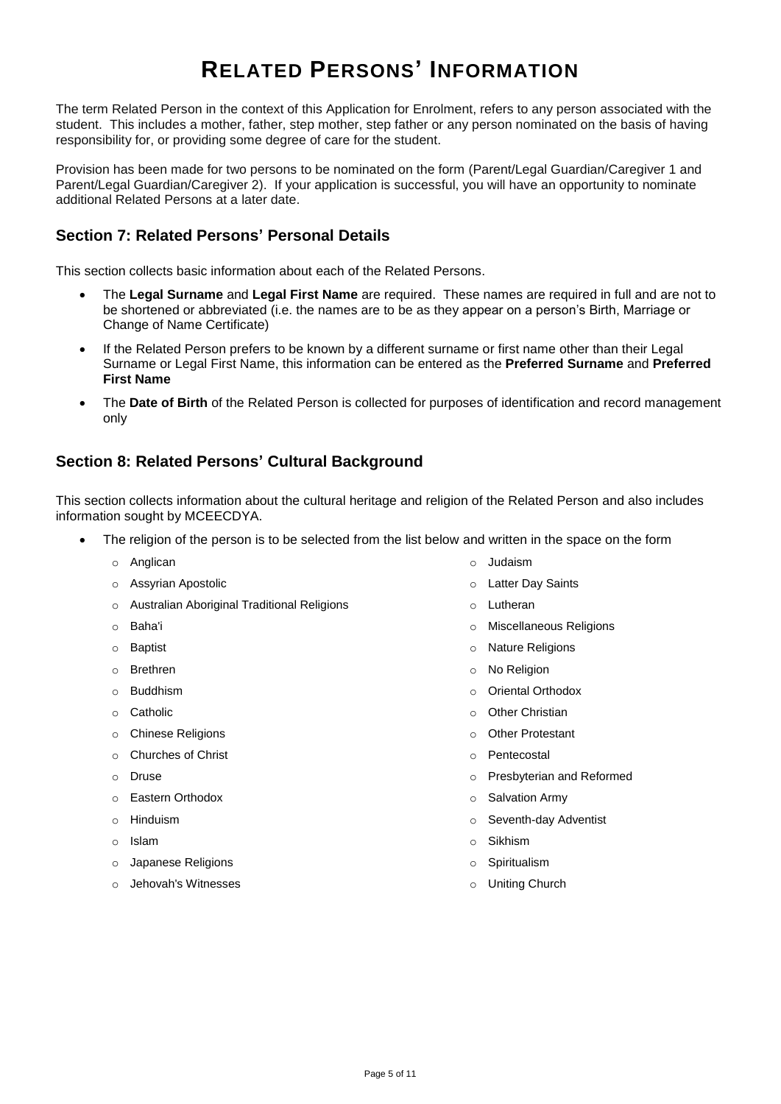# **RELATED PERSONS' INFORMATION**

The term Related Person in the context of this Application for Enrolment, refers to any person associated with the student. This includes a mother, father, step mother, step father or any person nominated on the basis of having responsibility for, or providing some degree of care for the student.

Provision has been made for two persons to be nominated on the form (Parent/Legal Guardian/Caregiver 1 and Parent/Legal Guardian/Caregiver 2). If your application is successful, you will have an opportunity to nominate additional Related Persons at a later date.

### **Section 7: Related Persons' Personal Details**

This section collects basic information about each of the Related Persons.

- The **Legal Surname** and **Legal First Name** are required. These names are required in full and are not to be shortened or abbreviated (i.e. the names are to be as they appear on a person"s Birth, Marriage or Change of Name Certificate)
- If the Related Person prefers to be known by a different surname or first name other than their Legal Surname or Legal First Name, this information can be entered as the **Preferred Surname** and **Preferred First Name**
- The **Date of Birth** of the Related Person is collected for purposes of identification and record management only

#### **Section 8: Related Persons' Cultural Background**

This section collects information about the cultural heritage and religion of the Related Person and also includes information sought by MCEECDYA.

- The religion of the person is to be selected from the list below and written in the space on the form
	- o Anglican
	- o Assyrian Apostolic
	- o Australian Aboriginal Traditional Religions
	- o Baha'i
	- o Baptist
	- o Brethren
	- o Buddhism
	- o Catholic
	- o Chinese Religions
	- o Churches of Christ
	- o Druse
	- o Eastern Orthodox
	- o Hinduism
	- o Islam
	- o Japanese Religions
	- o Jehovah's Witnesses
- o Judaism
- o Latter Day Saints
- o Lutheran
- o Miscellaneous Religions
- o Nature Religions
- o No Religion
- o Oriental Orthodox
- o Other Christian
- o Other Protestant
- o Pentecostal
- o Presbyterian and Reformed
- o Salvation Army
- o Seventh-day Adventist
- o Sikhism
- o Spiritualism
- o Uniting Church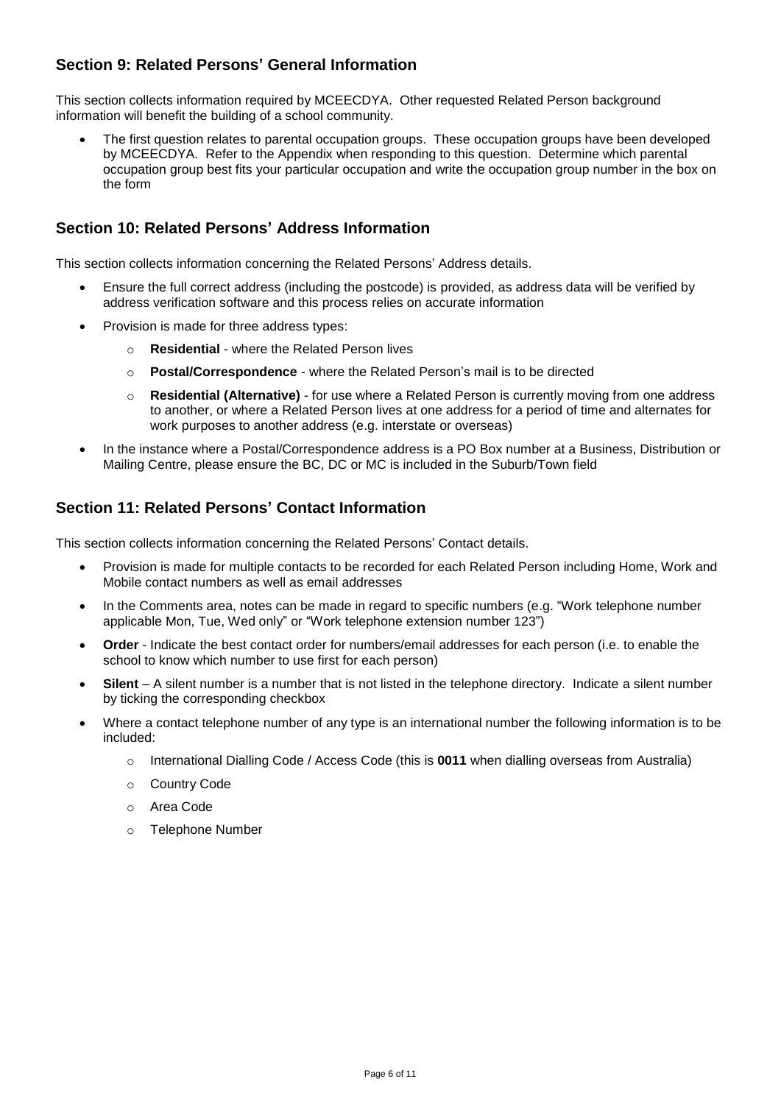#### **Section 9: Related Persons' General Information**

This section collects information required by MCEECDYA. Other requested Related Person background information will benefit the building of a school community.

 The first question relates to parental occupation groups. These occupation groups have been developed by MCEECDYA. Refer to the Appendix when responding to this question. Determine which parental occupation group best fits your particular occupation and write the occupation group number in the box on the form

### **Section 10: Related Persons' Address Information**

This section collects information concerning the Related Persons" Address details.

- Ensure the full correct address (including the postcode) is provided, as address data will be verified by address verification software and this process relies on accurate information
- Provision is made for three address types:
	- o **Residential** where the Related Person lives
	- o **Postal/Correspondence** where the Related Person"s mail is to be directed
	- o **Residential (Alternative)** for use where a Related Person is currently moving from one address to another, or where a Related Person lives at one address for a period of time and alternates for work purposes to another address (e.g. interstate or overseas)
- In the instance where a Postal/Correspondence address is a PO Box number at a Business, Distribution or Mailing Centre, please ensure the BC, DC or MC is included in the Suburb/Town field

#### **Section 11: Related Persons' Contact Information**

This section collects information concerning the Related Persons" Contact details.

- Provision is made for multiple contacts to be recorded for each Related Person including Home, Work and Mobile contact numbers as well as email addresses
- In the Comments area, notes can be made in regard to specific numbers (e.g. "Work telephone number applicable Mon, Tue, Wed only" or "Work telephone extension number 123")
- **Order** Indicate the best contact order for numbers/email addresses for each person (i.e. to enable the school to know which number to use first for each person)
- **Silent** A silent number is a number that is not listed in the telephone directory. Indicate a silent number by ticking the corresponding checkbox
- Where a contact telephone number of any type is an international number the following information is to be included:
	- o International Dialling Code / Access Code (this is **0011** when dialling overseas from Australia)
	- o Country Code
	- o Area Code
	- o Telephone Number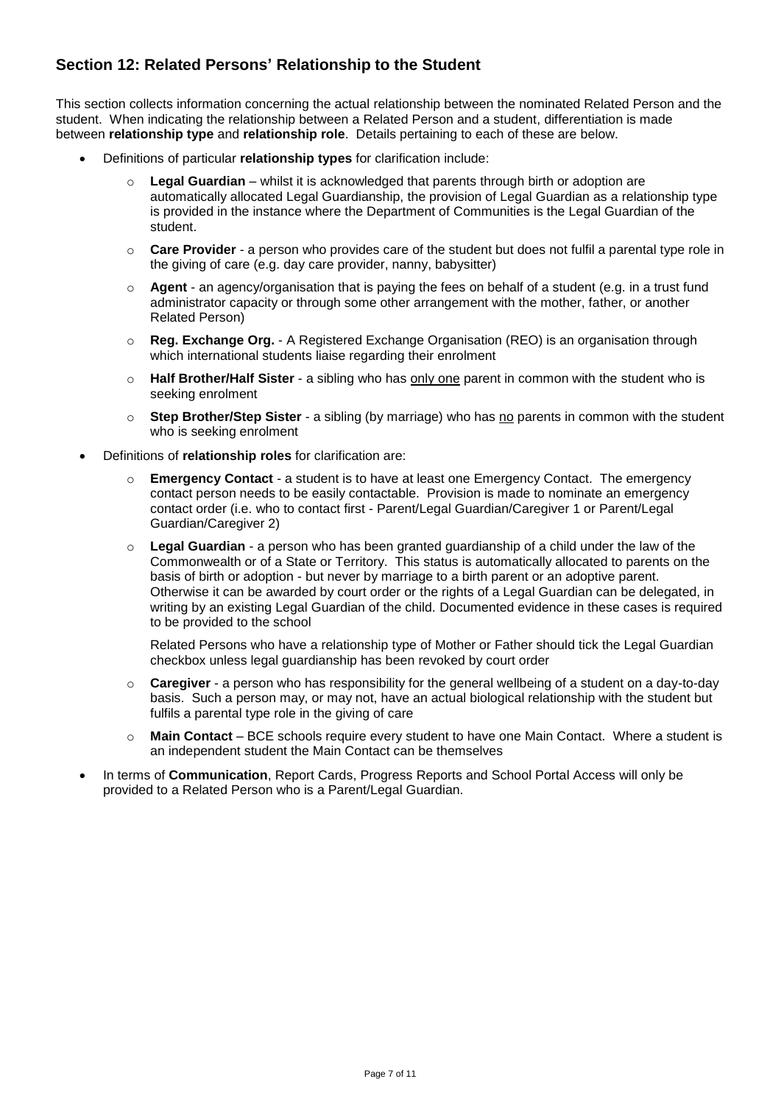### **Section 12: Related Persons' Relationship to the Student**

This section collects information concerning the actual relationship between the nominated Related Person and the student. When indicating the relationship between a Related Person and a student, differentiation is made between **relationship type** and **relationship role**. Details pertaining to each of these are below.

- Definitions of particular **relationship types** for clarification include:
	- o **Legal Guardian** whilst it is acknowledged that parents through birth or adoption are automatically allocated Legal Guardianship, the provision of Legal Guardian as a relationship type is provided in the instance where the Department of Communities is the Legal Guardian of the student.
	- o **Care Provider** a person who provides care of the student but does not fulfil a parental type role in the giving of care (e.g. day care provider, nanny, babysitter)
	- o **Agent** an agency/organisation that is paying the fees on behalf of a student (e.g. in a trust fund administrator capacity or through some other arrangement with the mother, father, or another Related Person)
	- o **Reg. Exchange Org.** A Registered Exchange Organisation (REO) is an organisation through which international students liaise regarding their enrolment
	- o **Half Brother/Half Sister** a sibling who has only one parent in common with the student who is seeking enrolment
	- o **Step Brother/Step Sister** a sibling (by marriage) who has no parents in common with the student who is seeking enrolment
- Definitions of **relationship roles** for clarification are:
	- o **Emergency Contact** a student is to have at least one Emergency Contact. The emergency contact person needs to be easily contactable. Provision is made to nominate an emergency contact order (i.e. who to contact first - Parent/Legal Guardian/Caregiver 1 or Parent/Legal Guardian/Caregiver 2)
	- o **Legal Guardian** a person who has been granted [guardianship](http://www.austlii.edu.au/au/legis/cth/consol_act/fla1975114/s4.html#guardian) of a [child](http://www.austlii.edu.au/au/legis/cth/consol_act/fla1975114/s4.html#child) under the law of the Commonwealth or of a [State](http://www.austlii.edu.au/au/legis/cth/consol_act/fla1975114/s4.html#state) or [Territory.](http://www.austlii.edu.au/au/legis/cth/consol_act/fla1975114/s4.html#territory) This status is automatically allocated to parents on the basis of birth or adoption - but never by marriage to a birth parent or an adoptive parent. Otherwise it can be awarded by court order or the rights of a Legal Guardian can be delegated, in writing by an existing Legal Guardian of the child. Documented evidence in these cases is required to be provided to the school

Related Persons who have a relationship type of Mother or Father should tick the Legal Guardian checkbox unless legal guardianship has been revoked by court order

- o **Caregiver** a person who has responsibility for the general wellbeing of a student on a day-to-day basis. Such a person may, or may not, have an actual biological relationship with the student but fulfils a parental type role in the giving of care
- o **Main Contact** BCE schools require every student to have one Main Contact. Where a student is an independent student the Main Contact can be themselves
- In terms of **Communication**, Report Cards, Progress Reports and School Portal Access will only be provided to a Related Person who is a Parent/Legal Guardian.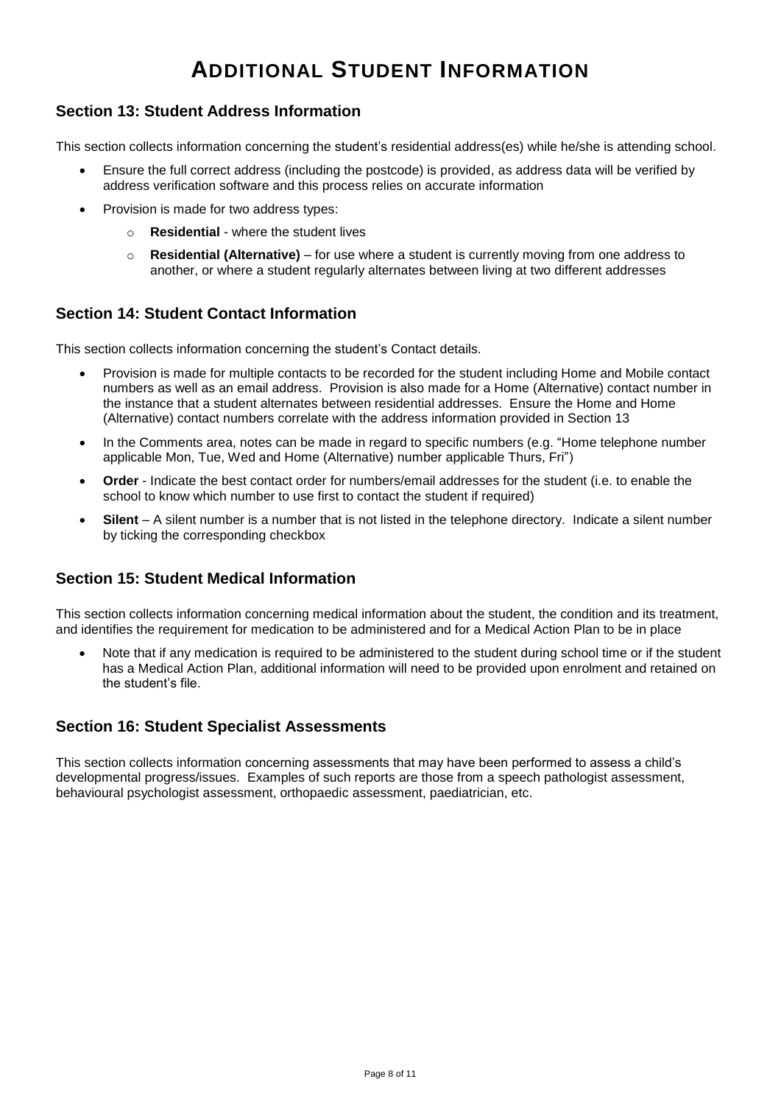# **ADDITIONAL STUDENT INFORMATION**

#### **Section 13: Student Address Information**

This section collects information concerning the student"s residential address(es) while he/she is attending school.

- Ensure the full correct address (including the postcode) is provided, as address data will be verified by address verification software and this process relies on accurate information
- Provision is made for two address types:
	- o **Residential** where the student lives
	- o **Residential (Alternative)** for use where a student is currently moving from one address to another, or where a student regularly alternates between living at two different addresses

#### **Section 14: Student Contact Information**

This section collects information concerning the student"s Contact details.

- Provision is made for multiple contacts to be recorded for the student including Home and Mobile contact numbers as well as an email address. Provision is also made for a Home (Alternative) contact number in the instance that a student alternates between residential addresses. Ensure the Home and Home (Alternative) contact numbers correlate with the address information provided in Section 13
- In the Comments area, notes can be made in regard to specific numbers (e.g. "Home telephone number applicable Mon, Tue, Wed and Home (Alternative) number applicable Thurs, Fri")
- **Order** Indicate the best contact order for numbers/email addresses for the student (i.e. to enable the school to know which number to use first to contact the student if required)
- **Silent** A silent number is a number that is not listed in the telephone directory. Indicate a silent number by ticking the corresponding checkbox

#### **Section 15: Student Medical Information**

This section collects information concerning medical information about the student, the condition and its treatment, and identifies the requirement for medication to be administered and for a Medical Action Plan to be in place

 Note that if any medication is required to be administered to the student during school time or if the student has a Medical Action Plan, additional information will need to be provided upon enrolment and retained on the student"s file.

#### **Section 16: Student Specialist Assessments**

This section collects information concerning assessments that may have been performed to assess a child"s developmental progress/issues. Examples of such reports are those from a speech pathologist assessment, behavioural psychologist assessment, orthopaedic assessment, paediatrician, etc.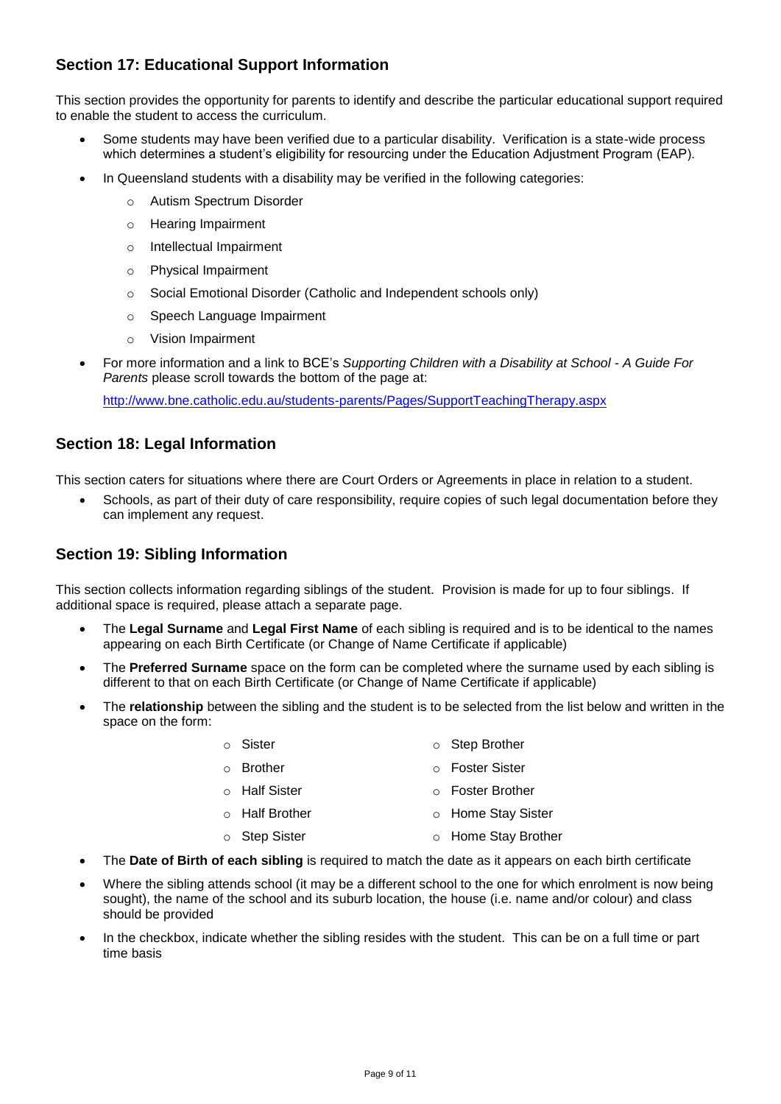## **Section 17: Educational Support Information**

This section provides the opportunity for parents to identify and describe the particular educational support required to enable the student to access the curriculum.

- Some students may have been verified due to a particular disability. Verification is a state-wide process which determines a student's eligibility for resourcing under the Education Adjustment Program (EAP).
	- In Queensland students with a disability may be verified in the following categories:
		- o Autism Spectrum Disorder
		- o Hearing Impairment
		- o Intellectual Impairment
		- o Physical Impairment
		- o Social Emotional Disorder (Catholic and Independent schools only)
		- o Speech Language Impairment
		- o Vision Impairment
- For more information and a link to BCE"s *Supporting Children with a Disability at School - A Guide For Parents* please scroll towards the bottom of the page at:

<http://www.bne.catholic.edu.au/students-parents/Pages/SupportTeachingTherapy.aspx>

#### **Section 18: Legal Information**

This section caters for situations where there are Court Orders or Agreements in place in relation to a student.

 Schools, as part of their duty of care responsibility, require copies of such legal documentation before they can implement any request.

#### **Section 19: Sibling Information**

This section collects information regarding siblings of the student. Provision is made for up to four siblings. If additional space is required, please attach a separate page.

- The **Legal Surname** and **Legal First Name** of each sibling is required and is to be identical to the names appearing on each Birth Certificate (or Change of Name Certificate if applicable)
- The **Preferred Surname** space on the form can be completed where the surname used by each sibling is different to that on each Birth Certificate (or Change of Name Certificate if applicable)
- The **relationship** between the sibling and the student is to be selected from the list below and written in the space on the form:
	- o Sister o Step Brother
	- o Brother o Foster Sister
	- o Half Sister o Foster Brother
		- o Half Brother o Home Stay Sister
		- o Step Sister o Home Stay Brother
- The **Date of Birth of each sibling** is required to match the date as it appears on each birth certificate
- Where the sibling attends school (it may be a different school to the one for which enrolment is now being sought), the name of the school and its suburb location, the house (i.e. name and/or colour) and class should be provided
- In the checkbox, indicate whether the sibling resides with the student. This can be on a full time or part time basis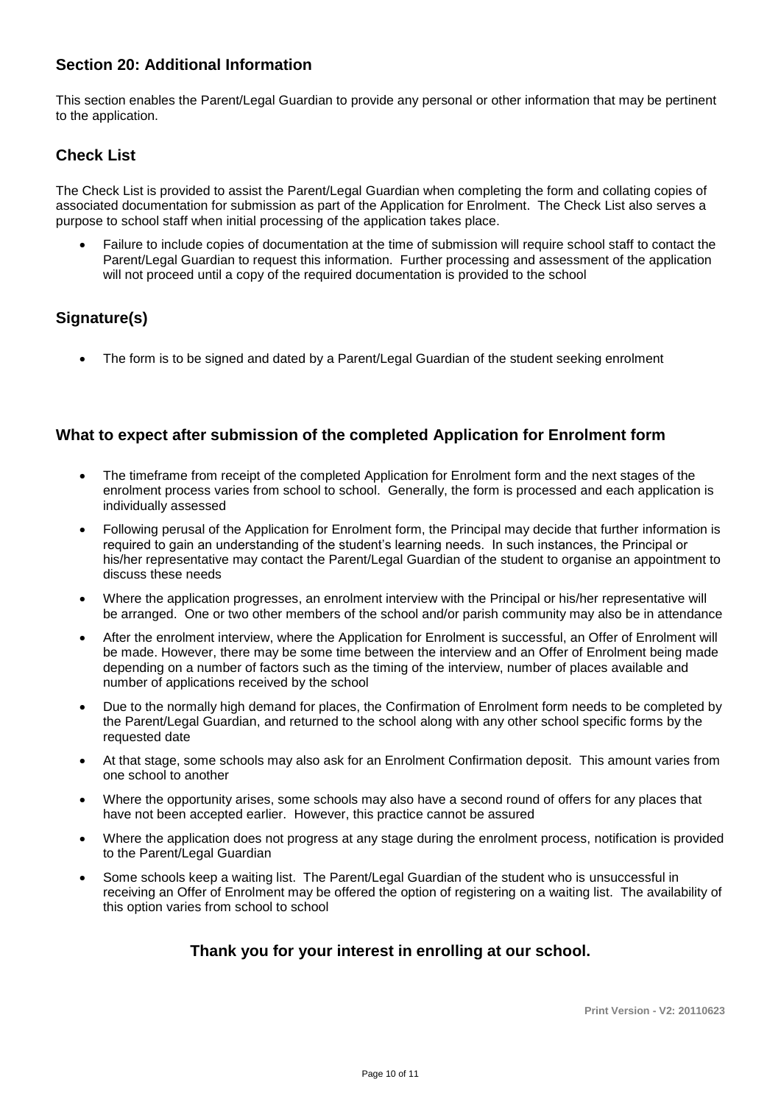#### **Section 20: Additional Information**

This section enables the Parent/Legal Guardian to provide any personal or other information that may be pertinent to the application.

#### **Check List**

The Check List is provided to assist the Parent/Legal Guardian when completing the form and collating copies of associated documentation for submission as part of the Application for Enrolment. The Check List also serves a purpose to school staff when initial processing of the application takes place.

 Failure to include copies of documentation at the time of submission will require school staff to contact the Parent/Legal Guardian to request this information. Further processing and assessment of the application will not proceed until a copy of the required documentation is provided to the school

#### **Signature(s)**

The form is to be signed and dated by a Parent/Legal Guardian of the student seeking enrolment

#### **What to expect after submission of the completed Application for Enrolment form**

- The timeframe from receipt of the completed Application for Enrolment form and the next stages of the enrolment process varies from school to school. Generally, the form is processed and each application is individually assessed
- Following perusal of the Application for Enrolment form, the Principal may decide that further information is required to gain an understanding of the student"s learning needs. In such instances, the Principal or his/her representative may contact the Parent/Legal Guardian of the student to organise an appointment to discuss these needs
- Where the application progresses, an enrolment interview with the Principal or his/her representative will be arranged. One or two other members of the school and/or parish community may also be in attendance
- After the enrolment interview, where the Application for Enrolment is successful, an Offer of Enrolment will be made. However, there may be some time between the interview and an Offer of Enrolment being made depending on a number of factors such as the timing of the interview, number of places available and number of applications received by the school
- Due to the normally high demand for places, the Confirmation of Enrolment form needs to be completed by the Parent/Legal Guardian, and returned to the school along with any other school specific forms by the requested date
- At that stage, some schools may also ask for an Enrolment Confirmation deposit. This amount varies from one school to another
- Where the opportunity arises, some schools may also have a second round of offers for any places that have not been accepted earlier. However, this practice cannot be assured
- Where the application does not progress at any stage during the enrolment process, notification is provided to the Parent/Legal Guardian
- Some schools keep a waiting list. The Parent/Legal Guardian of the student who is unsuccessful in receiving an Offer of Enrolment may be offered the option of registering on a waiting list. The availability of this option varies from school to school

## **Thank you for your interest in enrolling at our school.**